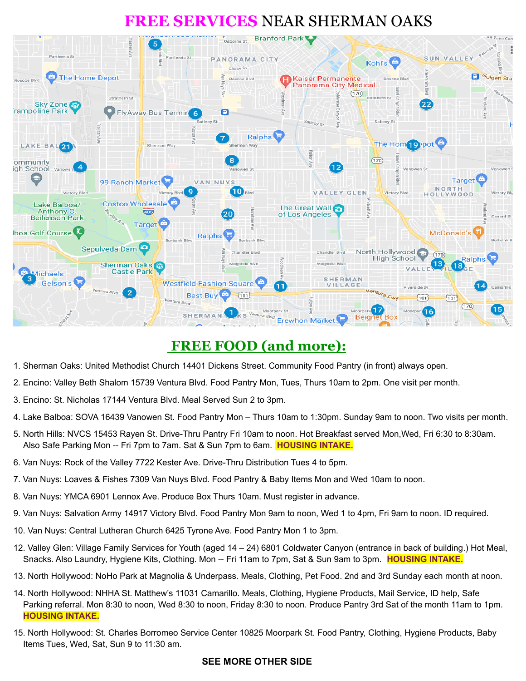# **FREE SERVICES** NEAR SHERMAN OAKS



## **FREE FOOD (and more):**

- 1. Sherman Oaks: United Methodist Church 14401 Dickens Street. Community Food Pantry (in front) always open.
- 2. Encino: Valley Beth Shalom 15739 Ventura Blvd. Food Pantry Mon, Tues, Thurs 10am to 2pm. One visit per month.
- 3. Encino: St. Nicholas 17144 Ventura Blvd. Meal Served Sun 2 to 3pm.
- 4. Lake Balboa: SOVA 16439 Vanowen St. Food Pantry Mon Thurs 10am to 1:30pm. Sunday 9am to noon. Two visits per month.
- 5. North Hills: NVCS 15453 Rayen St. Drive-Thru Pantry Fri 10am to noon. Hot Breakfast served Mon,Wed, Fri 6:30 to 8:30am. Also Safe Parking Mon -- Fri 7pm to 7am. Sat & Sun 7pm to 6am. **HOUSING INTAKE.**
- 6. Van Nuys: Rock of the Valley 7722 Kester Ave. Drive-Thru Distribution Tues 4 to 5pm.
- 7. Van Nuys: Loaves & Fishes 7309 Van Nuys Blvd. Food Pantry & Baby Items Mon and Wed 10am to noon.
- 8. Van Nuys: YMCA 6901 Lennox Ave. Produce Box Thurs 10am. Must register in advance.
- 9. Van Nuys: Salvation Army 14917 Victory Blvd. Food Pantry Mon 9am to noon, Wed 1 to 4pm, Fri 9am to noon. ID required.
- 10. Van Nuys: Central Lutheran Church 6425 Tyrone Ave. Food Pantry Mon 1 to 3pm.
- 12. Valley Glen: Village Family Services for Youth (aged 14 24) 6801 Coldwater Canyon (entrance in back of building.) Hot Meal, Snacks. Also Laundry, Hygiene Kits, Clothing. Mon -- Fri 11am to 7pm, Sat & Sun 9am to 3pm. **HOUSING INTAKE.**
- 13. North Hollywood: NoHo Park at Magnolia & Underpass. Meals, Clothing, Pet Food. 2nd and 3rd Sunday each month at noon.
- 14. North Hollywood: NHHA St. Matthew's 11031 Camarillo. Meals, Clothing, Hygiene Products, Mail Service, ID help, Safe Parking referral. Mon 8:30 to noon, Wed 8:30 to noon, Friday 8:30 to noon. Produce Pantry 3rd Sat of the month 11am to 1pm. **HOUSING INTAKE.**
- 15. North Hollywood: St. Charles Borromeo Service Center 10825 Moorpark St. Food Pantry, Clothing, Hygiene Products, Baby Items Tues, Wed, Sat, Sun 9 to 11:30 am.

#### **SEE MORE OTHER SIDE**